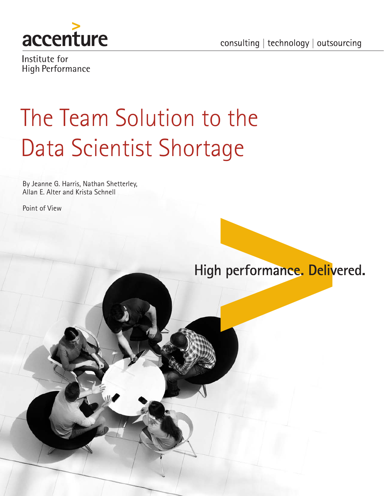

consulting | technology | outsourcing

Institute for **High Performance** 

# The Team Solution to the Data Scientist Shortage

By Jeanne G. Harris, Nathan Shetterley, Allan E. Alter and Krista Schnell

Point of View

High performance. Delivered.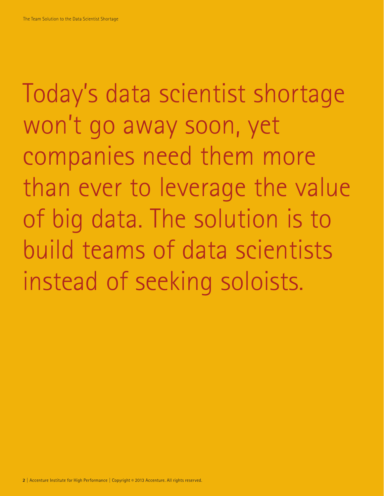Today's data scientist shortage won't go away soon, yet companies need them more than ever to leverage the value of big data. The solution is to build teams of data scientists instead of seeking soloists.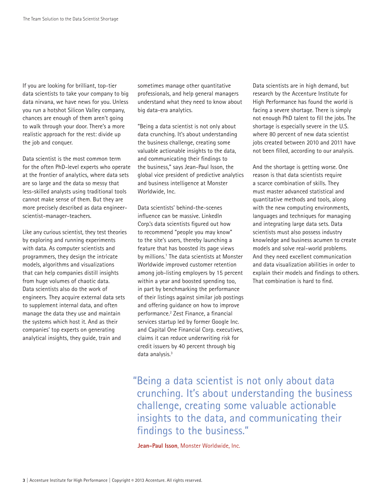If you are looking for brilliant, top-tier data scientists to take your company to big data nirvana, we have news for you. Unless you run a hotshot Silicon Valley company, chances are enough of them aren't going to walk through your door. There's a more realistic approach for the rest: divide up the job and conquer.

Data scientist is the most common term for the often PhD-level experts who operate at the frontier of analytics, where data sets are so large and the data so messy that less-skilled analysts using traditional tools cannot make sense of them. But they are more precisely described as data engineerscientist-manager-teachers.

Like any curious scientist, they test theories by exploring and running experiments with data. As computer scientists and programmers, they design the intricate models, algorithms and visualizations that can help companies distill insights from huge volumes of chaotic data. Data scientists also do the work of engineers. They acquire external data sets to supplement internal data, and often manage the data they use and maintain the systems which host it. And as their companies' top experts on generating analytical insights, they guide, train and

sometimes manage other quantitative professionals, and help general managers understand what they need to know about big data-era analytics.

"Being a data scientist is not only about data crunching. It's about understanding the business challenge, creating some valuable actionable insights to the data, and communicating their findings to the business," says Jean-Paul Isson, the global vice president of predictive analytics and business intelligence at Monster Worldwide, Inc.

Data scientists' behind-the-scenes influence can be massive. LinkedIn Corp.'s data scientists figured out how to recommend "people you may know" to the site's users, thereby launching a feature that has boosted its page views by millions.1 The data scientists at Monster Worldwide improved customer retention among job-listing employers by 15 percent within a year and boosted spending too, in part by benchmarking the performance of their listings against similar job postings and offering guidance on how to improve performance.2 Zest Finance, a financial services startup led by former Google Inc. and Capital One Financial Corp. executives, claims it can reduce underwriting risk for credit issuers by 40 percent through big data analysis.<sup>3</sup>

Data scientists are in high demand, but research by the Accenture Institute for High Performance has found the world is facing a severe shortage. There is simply not enough PhD talent to fill the jobs. The shortage is especially severe in the U.S. where 80 percent of new data scientist jobs created between 2010 and 2011 have not been filled, according to our analysis.

And the shortage is getting worse. One reason is that data scientists require a scarce combination of skills. They must master advanced statistical and quantitative methods and tools, along with the new computing environments, languages and techniques for managing and integrating large data sets. Data scientists must also possess industry knowledge and business acumen to create models and solve real-world problems. And they need excellent communication and data visualization abilities in order to explain their models and findings to others. That combination is hard to find.

"Being a data scientist is not only about data crunching. It's about understanding the business challenge, creating some valuable actionable insights to the data, and communicating their findings to the business."

**Jean-Paul Isson**, Monster Worldwide, Inc.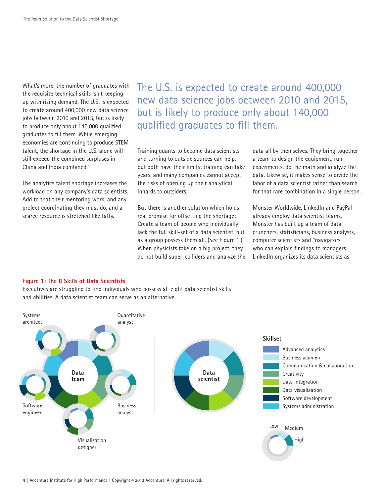What's more, the number of graduates with the requisite technical skills isn't keeping up with rising demand. The U.S. is expected to create around 400,000 new data science jobs between 2010 and 2015, but is likely to produce only about 140,000 qualified graduates to fill them. While emerging economies are continuing to produce STEM talent, the shortage in the U.S. alone will still exceed the combined surpluses in China and India combined.4

The analytics talent shortage increases the workload on any company's data scientists. Add to that their mentoring work, and any project coordinating they must do, and a scarce resource is stretched like taffy.

The U.S. is expected to create around 400,000 new data science jobs between 2010 and 2015, but is likely to produce only about 140,000 qualified graduates to fill them.

Training quants to become data scientists and turning to outside sources can help, but both have their limits: training can take years, and many companies cannot accept the risks of opening up their analytical innards to outsiders.

But there is another solution which holds real promise for offsetting the shortage: Create a team of people who individually lack the full skill-set of a data scientist, but as a group possess them all. (See Figure 1.) When physicists take on a big project, they do not build super-colliders and analyze the data all by themselves. They bring together a team to design the equipment, run experiments, do the math and analyze the data. Likewise, it makes sense to divide the labor of a data scientist rather than search for that rare combination in a single person.

Monster Worldwide, LinkedIn and PayPal already employ data scientist teams. Monster has built up a team of data crunchers, statisticians, business analysts, computer scientists and "navigators" who can explain findings to managers. LinkedIn organizes its data scientists as

#### **Figure 1: The 8 Skills of Data Scientists**

Executives are struggling to find individuals who possess all eight data scientist skills and abilities. A data scientist team can serve as an alternative.

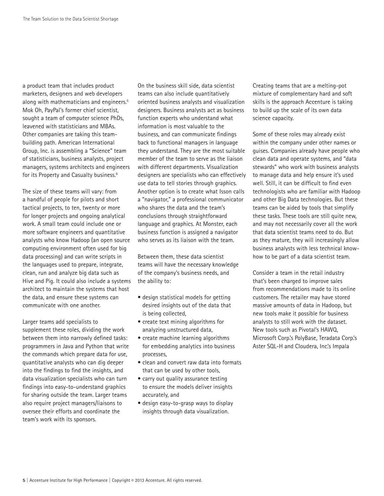a product team that includes product marketers, designers and web developers along with mathematicians and engineers.<sup>5</sup> Mok Oh, PayPal's former chief scientist, sought a team of computer science PhDs, leavened with statisticians and MBAs. Other companies are taking this teambuilding path. American International Group, Inc. is assembling a "Science" team of statisticians, business analysts, project managers, systems architects and engineers for its Property and Casualty business.<sup>6</sup>

The size of these teams will vary: from a handful of people for pilots and short tactical projects, to ten, twenty or more for longer projects and ongoing analytical work. A small team could include one or more software engineers and quantitative analysts who know Hadoop (an open source computing environment often used for big data processing) and can write scripts in the languages used to prepare, integrate, clean, run and analyze big data such as Hive and Pig. It could also include a systems architect to maintain the systems that host the data, and ensure these systems can communicate with one another.

Larger teams add specialists to supplement these roles, dividing the work between them into narrowly defined tasks: programmers in Java and Python that write the commands which prepare data for use, quantitative analysts who can dig deeper into the findings to find the insights, and data visualization specialists who can turn findings into easy-to-understand graphics for sharing outside the team. Larger teams also require project managers/liaisons to oversee their efforts and coordinate the team's work with its sponsors.

On the business skill side, data scientist teams can also include quantitatively oriented business analysts and visualization designers. Business analysts act as business function experts who understand what information is most valuable to the business, and can communicate findings back to functional managers in language they understand. They are the most suitable member of the team to serve as the liaison with different departments. Visualization designers are specialists who can effectively use data to tell stories through graphics. Another option is to create what Isson calls a "navigator," a professional communicator who shares the data and the team's conclusions through straightforward language and graphics. At Monster, each business function is assigned a navigator who serves as its liaison with the team.

Between them, these data scientist teams will have the necessary knowledge of the company's business needs, and the ability to:

- design statistical models for getting desired insights out of the data that is being collected,
- create text mining algorithms for analyzing unstructured data,
- create machine learning algorithms for embedding analytics into business processes,
- clean and convert raw data into formats that can be used by other tools,
- carry out quality assurance testing to ensure the models deliver insights accurately, and
- design easy-to-grasp ways to display insights through data visualization.

Creating teams that are a melting-pot mixture of complementary hard and soft skills is the approach Accenture is taking to build up the scale of its own data science capacity.

Some of these roles may already exist within the company under other names or guises. Companies already have people who clean data and operate systems, and "data stewards" who work with business analysts to manage data and help ensure it's used well. Still, it can be difficult to find even technologists who are familiar with Hadoop and other Big Data technologies. But these teams can be aided by tools that simplify these tasks. These tools are still quite new, and may not necessarily cover all the work that data scientist teams need to do. But as they mature, they will increasingly allow business analysts with less technical knowhow to be part of a data scientist team.

Consider a team in the retail industry that's been charged to improve sales from recommendations made to its online customers. The retailer may have stored massive amounts of data in Hadoop, but new tools make it possible for business analysts to still work with the dataset. New tools such as Pivotal's HAWQ, Microsoft Corp.'s PolyBase, Teradata Corp.'s Aster SQL-H and Cloudera, Inc.'s Impala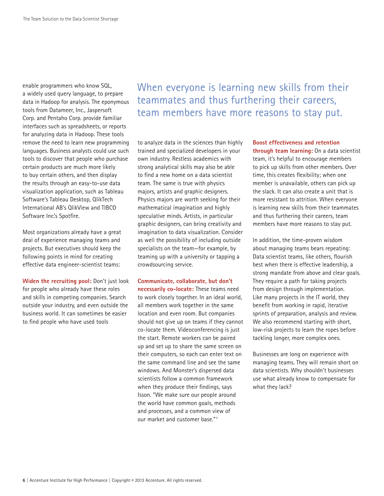enable programmers who know SQL, a widely used query language, to prepare data in Hadoop for analysis. The eponymous tools from Datameer, Inc., Jaspersoft Corp. and Pentaho Corp. provide familiar interfaces such as spreadsheets, or reports for analyzing data in Hadoop. These tools remove the need to learn new programming languages. Business analysts could use such tools to discover that people who purchase certain products are much more likely to buy certain others, and then display the results through an easy-to-use data visualization application, such as Tableau Software's Tableau Desktop, QlikTech International AB's QlikView and TIBCO Software Inc.'s Spotfire.

Most organizations already have a great deal of experience managing teams and projects. But executives should keep the following points in mind for creating effective data engineer-scientist teams:

**Widen the recruiting pool:** Don't just look for people who already have these roles and skills in competing companies. Search outside your industry, and even outside the business world. It can sometimes be easier to find people who have used tools

When everyone is learning new skills from their teammates and thus furthering their careers, team members have more reasons to stay put.

to analyze data in the sciences than highly trained and specialized developers in your own industry. Restless academics with strong analytical skills may also be able to find a new home on a data scientist team. The same is true with physics majors, artists and graphic designers. Physics majors are worth seeking for their mathematical imagination and highly speculative minds. Artists, in particular graphic designers, can bring creativity and imagination to data visualization. Consider as well the possibility of including outside specialists on the team—for example, by teaming up with a university or tapping a crowdsourcing service.

**Communicate, collaborate, but don't necessarily co-locate:** These teams need to work closely together. In an ideal world, all members work together in the same location and even room. But companies should not give up on teams if they cannot co-locate them. Videoconferencing is just the start. Remote workers can be paired up and set up to share the same screen on their computers, so each can enter text on the same command line and see the same windows. And Monster's dispersed data scientists follow a common framework when they produce their findings, says Isson. "We make sure our people around the world have common goals, methods and processes, and a common view of our market and customer base."7

**Boost effectiveness and retention through team learning:** On a data scientist team, it's helpful to encourage members to pick up skills from other members. Over time, this creates flexibility; when one member is unavailable, others can pick up the slack. It can also create a unit that is more resistant to attrition. When everyone is learning new skills from their teammates and thus furthering their careers, team members have more reasons to stay put.

In addition, the time-proven wisdom about managing teams bears repeating: Data scientist teams, like others, flourish best when there is effective leadership, a strong mandate from above and clear goals. They require a path for taking projects from design through implementation. Like many projects in the IT world, they benefit from working in rapid, iterative sprints of preparation, analysis and review. We also recommend starting with short, low-risk projects to learn the ropes before tackling longer, more complex ones.

Businesses are long on experience with managing teams. They will remain short on data scientists. Why shouldn't businesses use what already know to compensate for what they lack?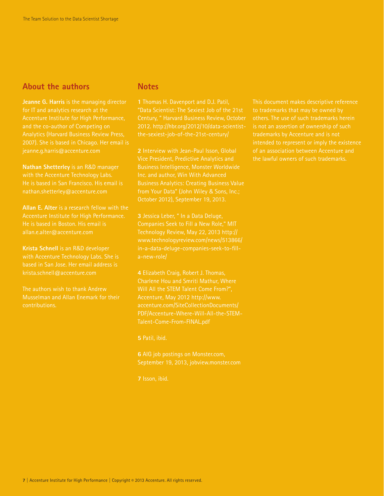### **About the authors**

**Jeanne G. Harris** is the managing director for IT and analytics research at the Accenture Institute for High Performance, 2007). She is based in Chicago. Her email is

**Nathan Shetterley** is an R&D manager with the Accenture Technology Labs. He is based in San Francisco. His email is nathan.shetterley@accenture.com

**Allan E. Alter** is a research fellow with the Accenture Institute for High Performance. He is based in Boston. His email is allan.e.alter@accenture.com

**Krista Schnell** is an R&D developer with Accenture Technology Labs. She is based in San Jose. Her email address is krista.schnell@accenture.com

The authors wish to thank Andrew Musselman and Allan Enemark for their contributions.

#### **Notes**

**1** Thomas H. Davenport and D.J. Patil, "Data Scientist: The Sexiest Job of the 21st Century, " Harvard Business Review, October

**2** Interview with Jean-Paul Isson, Global Vice President, Predictive Analytics and Inc. and author, Win With Advanced Business Analytics: Creating Business Value from Your Data" (John Wiley & Sons, Inc.;

Technology Review, May 22, 2013 http:// www.technologyreview.com/news/513866/ a-new-role/

**4** Elizabeth Craig, Robert J. Thomas, Charlene Hou and Smriti Mathur, Where Will All the STEM Talent Come From?", Accenture, May 2012 http://www. accenture.com/SiteCollectionDocuments/ PDF/Accenture-Where-Will-All-the-STEM-Talent-Come-From-FINAL.pdf

September 19, 2013, jobview.monster.com

This document makes descriptive reference to trademarks that may be owned by others. The use of such trademarks herein is not an assertion of ownership of such intended to represent or imply the existence of an association between Accenture and the lawful owners of such trademarks.